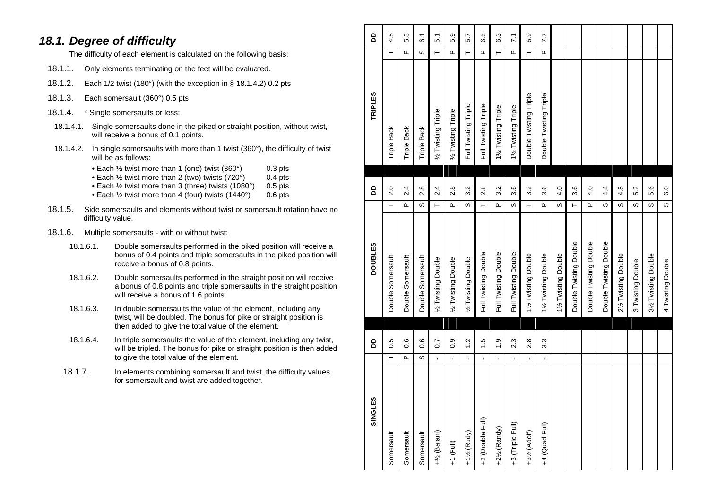#### *18.1. Degree of difficulty*

The difficulty of each element is calculated on the following basis:

- 18.1.1. Only elements terminating on the feet will be evaluated.
- 18.1.2. Each 1/2 twist (180°) (with the exception in § 18.1.4.2) 0.2 pts
- 18.1.3. Each somersault (360°) 0.5 pts
- 18.1.4. \* Single somersaults or less:
- 18.1.4.1. Single somersaults done in the piked or straight position, without twist, will receive a bonus of 0.1 points.
- 18.1.4.2. In single somersaults with more than 1 twist (360°), the difficulty of twist will be as follows:
	- Each  $\frac{1}{2}$  twist more than 1 (one) twist (360°) 0.3 pts
	- Each ½ twist more than 2 (two) twists (720°) 0.4 pts
	- Each 1/<sub>2</sub> twist more than 3 (three) twists (1080°) 0.5 pts
	- Each 1/2 twist more than 4 (four) twists (1440°) 0.6 pts
- 18.1.5. Side somersaults and elements without twist or somersault rotation have no difficulty value.
- 18.1.6. Multiple somersaults with or without twist:
	- 18.1.6.1. Double somersaults performed in the piked position will receive a bonus of 0.4 points and triple somersaults in the piked position will receive a bonus of 0.8 points.
	- 18.1.6.2. Double somersaults performed in the straight position will receive a bonus of 0.8 points and triple somersaults in the straight position will receive a bonus of 1.6 points.
	- 18.1.6.3. In double somersaults the value of the element, including any twist, will be doubled. The bonus for pike or straight position is then added to give the total value of the element.
	- 18.1.6.4. In triple somersaults the value of the element, including any twist, will be tripled. The bonus for pike or straight position is then added to give the total value of the element.
	- 18.1.7. In elements combining somersault and twist, the difficulty values for somersault and twist are added together.

| ഗ<br><b>SINGLE</b>        |                | <b>DD</b>      | <b>DOUBLES</b>         |           | 6                 | <b>TRIPLES</b>         |          | 6                 |
|---------------------------|----------------|----------------|------------------------|-----------|-------------------|------------------------|----------|-------------------|
| Somersault                | ⊢              | 0.5            | Double Somersault      | $\vdash$  | 2.0               | Triple Back            | ⊢        | 4.5               |
| Somersault                | Δ.             | 0.6            | Double Somersault      | <b>L</b>  | 2.4               | Triple Back            | Δ.       | 5.3               |
| Somersault                | w              | 0.6            | Double Somersault      | S         | 2.8               | <b>Triple Back</b>     | S        | $\overline{6}$    |
| +1/ <sub>2</sub> (Barani) | $\blacksquare$ | $\overline{0}$ | % Twisting Double      | $\vdash$  | 2.4               | 1/2 Twisting Triple    | ⊢        | 5 <sub>1</sub>    |
| $+1$ (Full)               | r.             | $\frac{0}{2}$  | 1/2 Twisting Double    | <b>Q</b>  | 2.8               | 1/2 Twisting Triple    | Δ.       | 5.9               |
| +11/2 (Rudy)              | $\mathbf{r}$   | 1.2            | 1/2 Twisting Double    | S         | 3.2               | Full Twisting Triple   | ⊢        | 5.7               |
| +2 (Double Full)          | $\mathbf{r}$   | $\frac{5}{1}$  | Full Twisting Double   | $\vdash$  | 2.8               | Full Twisting Triple   | Δ.       | 6.5               |
| +21/ <sub>2</sub> (Randy) | $\blacksquare$ | $\frac{0}{1}$  | Full Twisting Double   | Δ.        | 3.2               | 1% Twisting Triple     | $\vdash$ | 6.3               |
| +3 (Triple Full)          | $\blacksquare$ | 2.3            | Full Twisting Double   | S         | 3.6               | 11/2 Twisting Triple   | $\Omega$ | $\overline{7}$ .1 |
| +31/ <sub>2</sub> (Adolf) | $\blacksquare$ | $\frac{8}{2}$  | 1% Twisting Double     | $\vdash$  | 3.2               | Double Twisting Triple | Н        | 6.9               |
| +4 (Quad Full)            | $\mathbf{r}$   | 3.3            | 11/2 Twisting Double   | Δ.        | 3.6               | Double Twisting Triple | Δ.       | 7.7               |
|                           |                |                | 1% Twisting Double     | S         | 4.0               |                        |          |                   |
|                           |                |                | Double Twisting Double | ⊢         | 3.6               |                        |          |                   |
|                           |                |                | Double Twisting Double | <u>Δ.</u> | 4.0               |                        |          |                   |
|                           |                |                | Double Twisting Double | S         | 4.4               |                        |          |                   |
|                           |                |                | 21/2 Twisting Double   | w         | 4.8               |                        |          |                   |
|                           |                |                | 3 Twisting Double      | w         | 5.2               |                        |          |                   |
|                           |                |                | 31/2 Twisting Double   | လ         | 5.6               |                        |          |                   |
|                           |                |                | 4 Twisting Double      | ဖ         | $\overline{6}$ .0 |                        |          |                   |